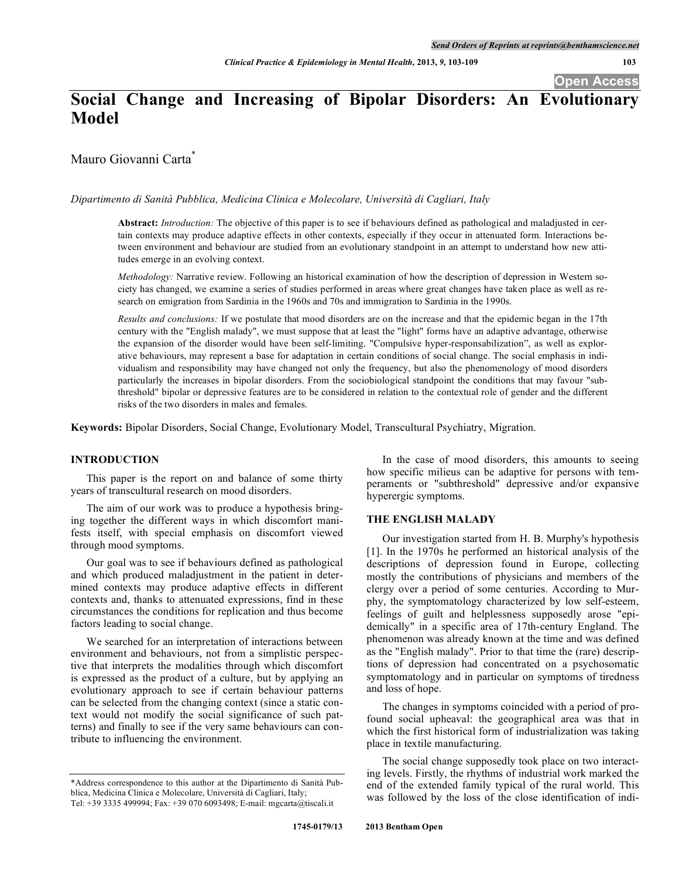# **Social Change and Increasing of Bipolar Disorders: An Evolutionary Model**

Mauro Giovanni Carta \*

*Dipartimento di Sanità Pubblica, Medicina Clinica e Molecolare, Università di Cagliari, Italy*

**Abstract:** *Introduction:* The objective of this paper is to see if behaviours defined as pathological and maladjusted in certain contexts may produce adaptive effects in other contexts, especially if they occur in attenuated form. Interactions between environment and behaviour are studied from an evolutionary standpoint in an attempt to understand how new attitudes emerge in an evolving context.

*Methodology:* Narrative review. Following an historical examination of how the description of depression in Western society has changed, we examine a series of studies performed in areas where great changes have taken place as well as research on emigration from Sardinia in the 1960s and 70s and immigration to Sardinia in the 1990s.

*Results and conclusions:* If we postulate that mood disorders are on the increase and that the epidemic began in the 17th century with the "English malady", we must suppose that at least the "light" forms have an adaptive advantage, otherwise the expansion of the disorder would have been self-limiting. "Compulsive hyper-responsabilization", as well as explorative behaviours, may represent a base for adaptation in certain conditions of social change. The social emphasis in individualism and responsibility may have changed not only the frequency, but also the phenomenology of mood disorders particularly the increases in bipolar disorders. From the sociobiological standpoint the conditions that may favour "subthreshold" bipolar or depressive features are to be considered in relation to the contextual role of gender and the different risks of the two disorders in males and females.

**Keywords:** Bipolar Disorders, Social Change, Evolutionary Model, Transcultural Psychiatry, Migration.

#### **INTRODUCTION**

This paper is the report on and balance of some thirty years of transcultural research on mood disorders.

The aim of our work was to produce a hypothesis bringing together the different ways in which discomfort manifests itself, with special emphasis on discomfort viewed through mood symptoms.

Our goal was to see if behaviours defined as pathological and which produced maladjustment in the patient in determined contexts may produce adaptive effects in different contexts and, thanks to attenuated expressions, find in these circumstances the conditions for replication and thus become factors leading to social change.

We searched for an interpretation of interactions between environment and behaviours, not from a simplistic perspective that interprets the modalities through which discomfort is expressed as the product of a culture, but by applying an evolutionary approach to see if certain behaviour patterns can be selected from the changing context (since a static context would not modify the social significance of such patterns) and finally to see if the very same behaviours can contribute to influencing the environment.

In the case of mood disorders, this amounts to seeing how specific milieus can be adaptive for persons with temperaments or "subthreshold" depressive and/or expansive hyperergic symptoms.

### **THE ENGLISH MALADY**

Our investigation started from H. B. Murphy's hypothesis [1]. In the 1970s he performed an historical analysis of the descriptions of depression found in Europe, collecting mostly the contributions of physicians and members of the clergy over a period of some centuries. According to Murphy, the symptomatology characterized by low self-esteem, feelings of guilt and helplessness supposedly arose "epidemically" in a specific area of 17th-century England. The phenomenon was already known at the time and was defined as the "English malady". Prior to that time the (rare) descriptions of depression had concentrated on a psychosomatic symptomatology and in particular on symptoms of tiredness and loss of hope.

The changes in symptoms coincided with a period of profound social upheaval: the geographical area was that in which the first historical form of industrialization was taking place in textile manufacturing.

The social change supposedly took place on two interacting levels. Firstly, the rhythms of industrial work marked the end of the extended family typical of the rural world. This was followed by the loss of the close identification of indi-

<sup>\*</sup>Address correspondence to this author at the Dipartimento di Sanità Pubblica, Medicina Clinica e Molecolare, Università di Cagliari, Italy; Tel: +39 3335 499994; Fax: +39 070 6093498; E-mail: mgcarta@tiscali.it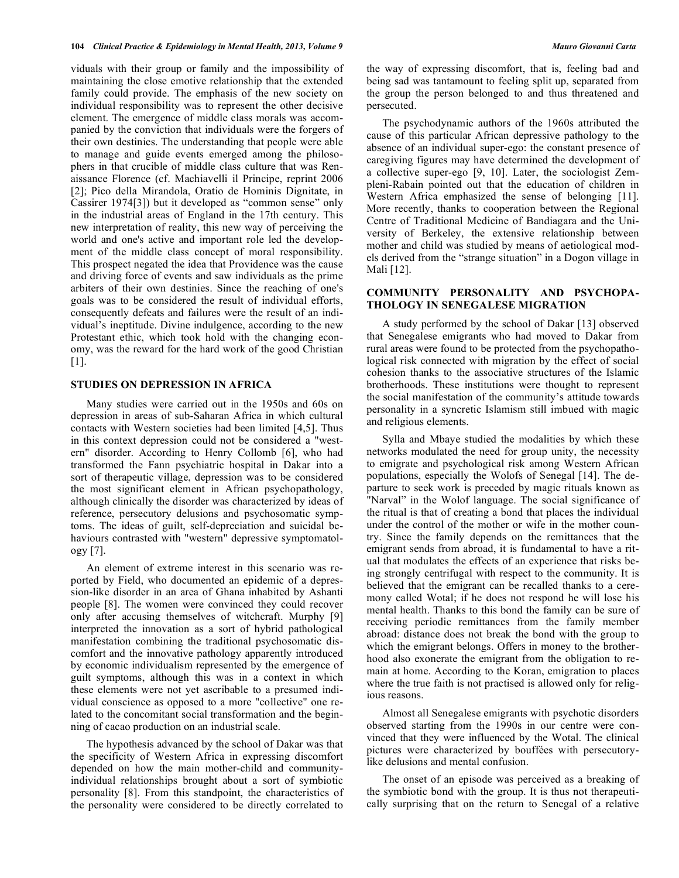viduals with their group or family and the impossibility of maintaining the close emotive relationship that the extended family could provide. The emphasis of the new society on individual responsibility was to represent the other decisive element. The emergence of middle class morals was accompanied by the conviction that individuals were the forgers of their own destinies. The understanding that people were able to manage and guide events emerged among the philosophers in that crucible of middle class culture that was Renaissance Florence (cf. Machiavelli il Principe, reprint 2006 [2]; Pico della Mirandola, Oratio de Hominis Dignitate, in Cassirer 1974[3]) but it developed as "common sense" only in the industrial areas of England in the 17th century. This new interpretation of reality, this new way of perceiving the world and one's active and important role led the development of the middle class concept of moral responsibility. This prospect negated the idea that Providence was the cause and driving force of events and saw individuals as the prime arbiters of their own destinies. Since the reaching of one's goals was to be considered the result of individual efforts, consequently defeats and failures were the result of an individual's ineptitude. Divine indulgence, according to the new Protestant ethic, which took hold with the changing economy, was the reward for the hard work of the good Christian [1].

# **STUDIES ON DEPRESSION IN AFRICA**

Many studies were carried out in the 1950s and 60s on depression in areas of sub-Saharan Africa in which cultural contacts with Western societies had been limited [4,5]. Thus in this context depression could not be considered a "western" disorder. According to Henry Collomb [6], who had transformed the Fann psychiatric hospital in Dakar into a sort of therapeutic village, depression was to be considered the most significant element in African psychopathology, although clinically the disorder was characterized by ideas of reference, persecutory delusions and psychosomatic symptoms. The ideas of guilt, self-depreciation and suicidal behaviours contrasted with "western" depressive symptomatology [7].

An element of extreme interest in this scenario was reported by Field, who documented an epidemic of a depression-like disorder in an area of Ghana inhabited by Ashanti people [8]. The women were convinced they could recover only after accusing themselves of witchcraft. Murphy [9] interpreted the innovation as a sort of hybrid pathological manifestation combining the traditional psychosomatic discomfort and the innovative pathology apparently introduced by economic individualism represented by the emergence of guilt symptoms, although this was in a context in which these elements were not yet ascribable to a presumed individual conscience as opposed to a more "collective" one related to the concomitant social transformation and the beginning of cacao production on an industrial scale.

The hypothesis advanced by the school of Dakar was that the specificity of Western Africa in expressing discomfort depended on how the main mother-child and communityindividual relationships brought about a sort of symbiotic personality [8]. From this standpoint, the characteristics of the personality were considered to be directly correlated to

the way of expressing discomfort, that is, feeling bad and being sad was tantamount to feeling split up, separated from the group the person belonged to and thus threatened and persecuted.

The psychodynamic authors of the 1960s attributed the cause of this particular African depressive pathology to the absence of an individual super-ego: the constant presence of caregiving figures may have determined the development of a collective super-ego [9, 10]. Later, the sociologist Zempleni-Rabain pointed out that the education of children in Western Africa emphasized the sense of belonging [11]. More recently, thanks to cooperation between the Regional Centre of Traditional Medicine of Bandiagara and the University of Berkeley, the extensive relationship between mother and child was studied by means of aetiological models derived from the "strange situation" in a Dogon village in Mali [12].

# **COMMUNITY PERSONALITY AND PSYCHOPA-THOLOGY IN SENEGALESE MIGRATION**

A study performed by the school of Dakar [13] observed that Senegalese emigrants who had moved to Dakar from rural areas were found to be protected from the psychopathological risk connected with migration by the effect of social cohesion thanks to the associative structures of the Islamic brotherhoods. These institutions were thought to represent the social manifestation of the community's attitude towards personality in a syncretic Islamism still imbued with magic and religious elements.

Sylla and Mbaye studied the modalities by which these networks modulated the need for group unity, the necessity to emigrate and psychological risk among Western African populations, especially the Wolofs of Senegal [14]. The departure to seek work is preceded by magic rituals known as "Narval" in the Wolof language. The social significance of the ritual is that of creating a bond that places the individual under the control of the mother or wife in the mother country. Since the family depends on the remittances that the emigrant sends from abroad, it is fundamental to have a ritual that modulates the effects of an experience that risks being strongly centrifugal with respect to the community. It is believed that the emigrant can be recalled thanks to a ceremony called Wotal; if he does not respond he will lose his mental health. Thanks to this bond the family can be sure of receiving periodic remittances from the family member abroad: distance does not break the bond with the group to which the emigrant belongs. Offers in money to the brotherhood also exonerate the emigrant from the obligation to remain at home. According to the Koran, emigration to places where the true faith is not practised is allowed only for religious reasons.

Almost all Senegalese emigrants with psychotic disorders observed starting from the 1990s in our centre were convinced that they were influenced by the Wotal. The clinical pictures were characterized by bouffées with persecutorylike delusions and mental confusion.

The onset of an episode was perceived as a breaking of the symbiotic bond with the group. It is thus not therapeutically surprising that on the return to Senegal of a relative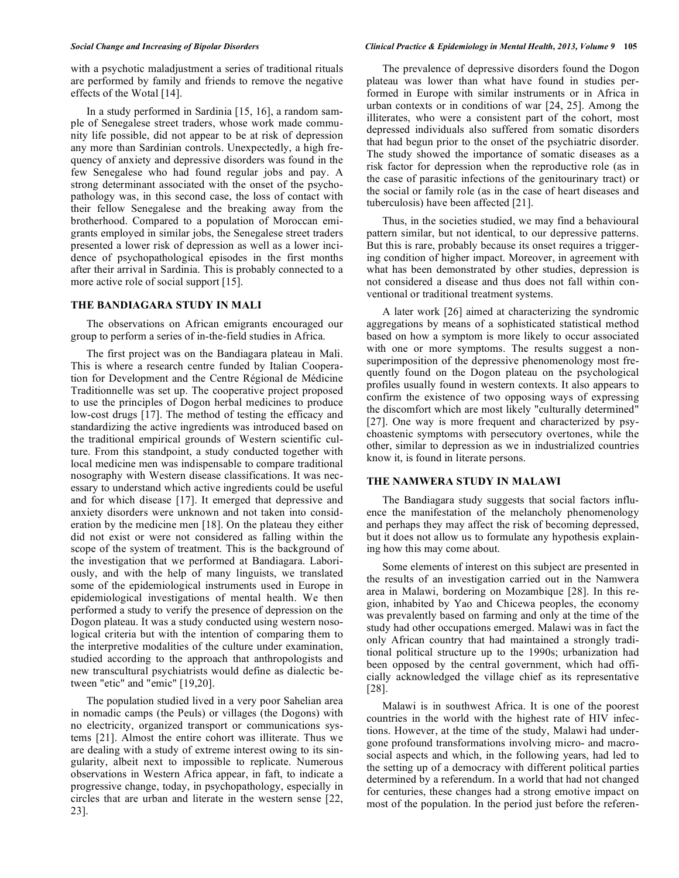with a psychotic maladjustment a series of traditional rituals are performed by family and friends to remove the negative effects of the Wotal [14].

In a study performed in Sardinia [15, 16], a random sample of Senegalese street traders, whose work made community life possible, did not appear to be at risk of depression any more than Sardinian controls. Unexpectedly, a high frequency of anxiety and depressive disorders was found in the few Senegalese who had found regular jobs and pay. A strong determinant associated with the onset of the psychopathology was, in this second case, the loss of contact with their fellow Senegalese and the breaking away from the brotherhood. Compared to a population of Moroccan emigrants employed in similar jobs, the Senegalese street traders presented a lower risk of depression as well as a lower incidence of psychopathological episodes in the first months after their arrival in Sardinia. This is probably connected to a more active role of social support [15].

# **THE BANDIAGARA STUDY IN MALI**

The observations on African emigrants encouraged our group to perform a series of in-the-field studies in Africa.

The first project was on the Bandiagara plateau in Mali. This is where a research centre funded by Italian Cooperation for Development and the Centre Régional de Médicine Traditionnelle was set up. The cooperative project proposed to use the principles of Dogon herbal medicines to produce low-cost drugs [17]. The method of testing the efficacy and standardizing the active ingredients was introduced based on the traditional empirical grounds of Western scientific culture. From this standpoint, a study conducted together with local medicine men was indispensable to compare traditional nosography with Western disease classifications. It was necessary to understand which active ingredients could be useful and for which disease [17]. It emerged that depressive and anxiety disorders were unknown and not taken into consideration by the medicine men [18]. On the plateau they either did not exist or were not considered as falling within the scope of the system of treatment. This is the background of the investigation that we performed at Bandiagara. Laboriously, and with the help of many linguists, we translated some of the epidemiological instruments used in Europe in epidemiological investigations of mental health. We then performed a study to verify the presence of depression on the Dogon plateau. It was a study conducted using western nosological criteria but with the intention of comparing them to the interpretive modalities of the culture under examination, studied according to the approach that anthropologists and new transcultural psychiatrists would define as dialectic between "etic" and "emic" [19,20].

The population studied lived in a very poor Sahelian area in nomadic camps (the Peuls) or villages (the Dogons) with no electricity, organized transport or communications systems [21]. Almost the entire cohort was illiterate. Thus we are dealing with a study of extreme interest owing to its singularity, albeit next to impossible to replicate. Numerous observations in Western Africa appear, in faft, to indicate a progressive change, today, in psychopathology, especially in circles that are urban and literate in the western sense [22, 23].

### Social Change and Increasing of Bipolar Disorders<br>
Clinical Practice & Epidemiology in Mental Health, 2013, Volume 9 105

The prevalence of depressive disorders found the Dogon plateau was lower than what have found in studies performed in Europe with similar instruments or in Africa in urban contexts or in conditions of war [24, 25]. Among the illiterates, who were a consistent part of the cohort, most depressed individuals also suffered from somatic disorders that had begun prior to the onset of the psychiatric disorder. The study showed the importance of somatic diseases as a risk factor for depression when the reproductive role (as in the case of parasitic infections of the genitourinary tract) or the social or family role (as in the case of heart diseases and tuberculosis) have been affected [21].

Thus, in the societies studied, we may find a behavioural pattern similar, but not identical, to our depressive patterns. But this is rare, probably because its onset requires a triggering condition of higher impact. Moreover, in agreement with what has been demonstrated by other studies, depression is not considered a disease and thus does not fall within conventional or traditional treatment systems.

A later work [26] aimed at characterizing the syndromic aggregations by means of a sophisticated statistical method based on how a symptom is more likely to occur associated with one or more symptoms. The results suggest a nonsuperimposition of the depressive phenomenology most frequently found on the Dogon plateau on the psychological profiles usually found in western contexts. It also appears to confirm the existence of two opposing ways of expressing the discomfort which are most likely "culturally determined" [27]. One way is more frequent and characterized by psychoastenic symptoms with persecutory overtones, while the other, similar to depression as we in industrialized countries know it, is found in literate persons.

### **THE NAMWERA STUDY IN MALAWI**

The Bandiagara study suggests that social factors influence the manifestation of the melancholy phenomenology and perhaps they may affect the risk of becoming depressed, but it does not allow us to formulate any hypothesis explaining how this may come about.

Some elements of interest on this subject are presented in the results of an investigation carried out in the Namwera area in Malawi, bordering on Mozambique [28]. In this region, inhabited by Yao and Chicewa peoples, the economy was prevalently based on farming and only at the time of the study had other occupations emerged. Malawi was in fact the only African country that had maintained a strongly traditional political structure up to the 1990s; urbanization had been opposed by the central government, which had officially acknowledged the village chief as its representative [28].

Malawi is in southwest Africa. It is one of the poorest countries in the world with the highest rate of HIV infections. However, at the time of the study, Malawi had undergone profound transformations involving micro- and macrosocial aspects and which, in the following years, had led to the setting up of a democracy with different political parties determined by a referendum. In a world that had not changed for centuries, these changes had a strong emotive impact on most of the population. In the period just before the referen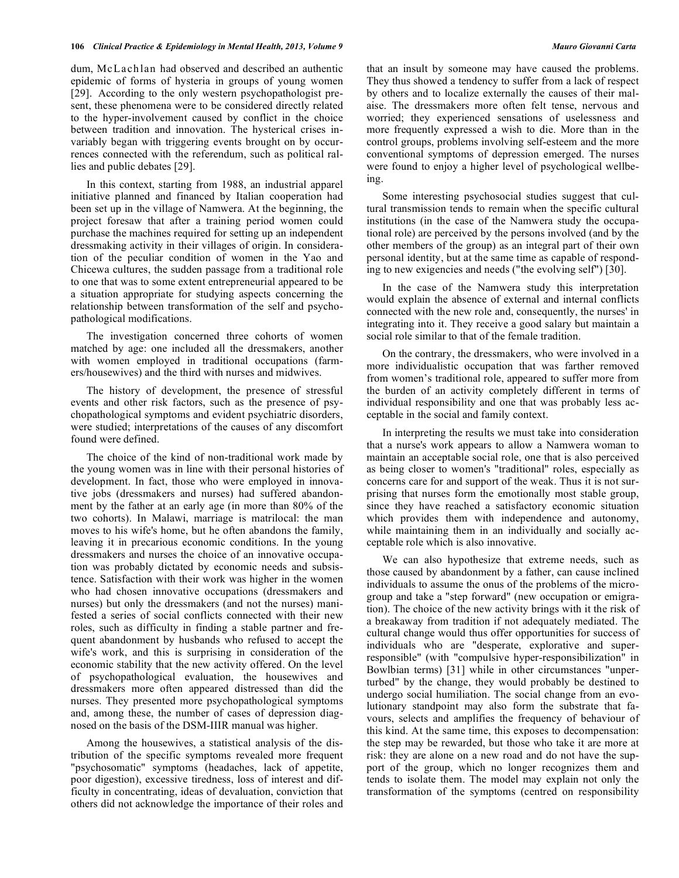dum, McLa ch lan had observed and described an authentic epidemic of forms of hysteria in groups of young women [29]. According to the only western psychopathologist present, these phenomena were to be considered directly related to the hyper-involvement caused by conflict in the choice between tradition and innovation. The hysterical crises invariably began with triggering events brought on by occurrences connected with the referendum, such as political rallies and public debates [29].

In this context, starting from 1988, an industrial apparel initiative planned and financed by Italian cooperation had been set up in the village of Namwera. At the beginning, the project foresaw that after a training period women could purchase the machines required for setting up an independent dressmaking activity in their villages of origin. In consideration of the peculiar condition of women in the Yao and Chicewa cultures, the sudden passage from a traditional role to one that was to some extent entrepreneurial appeared to be a situation appropriate for studying aspects concerning the relationship between transformation of the self and psychopathological modifications.

The investigation concerned three cohorts of women matched by age: one included all the dressmakers, another with women employed in traditional occupations (farmers/housewives) and the third with nurses and midwives.

The history of development, the presence of stressful events and other risk factors, such as the presence of psychopathological symptoms and evident psychiatric disorders, were studied; interpretations of the causes of any discomfort found were defined.

The choice of the kind of non-traditional work made by the young women was in line with their personal histories of development. In fact, those who were employed in innovative jobs (dressmakers and nurses) had suffered abandonment by the father at an early age (in more than 80% of the two cohorts). In Malawi, marriage is matrilocal: the man moves to his wife's home, but he often abandons the family, leaving it in precarious economic conditions. In the young dressmakers and nurses the choice of an innovative occupation was probably dictated by economic needs and subsistence. Satisfaction with their work was higher in the women who had chosen innovative occupations (dressmakers and nurses) but only the dressmakers (and not the nurses) manifested a series of social conflicts connected with their new roles, such as difficulty in finding a stable partner and frequent abandonment by husbands who refused to accept the wife's work, and this is surprising in consideration of the economic stability that the new activity offered. On the level of psychopathological evaluation, the housewives and dressmakers more often appeared distressed than did the nurses. They presented more psychopathological symptoms and, among these, the number of cases of depression diagnosed on the basis of the DSM-IIIR manual was higher.

Among the housewives, a statistical analysis of the distribution of the specific symptoms revealed more frequent "psychosomatic" symptoms (headaches, lack of appetite, poor digestion), excessive tiredness, loss of interest and difficulty in concentrating, ideas of devaluation, conviction that others did not acknowledge the importance of their roles and

that an insult by someone may have caused the problems. They thus showed a tendency to suffer from a lack of respect by others and to localize externally the causes of their malaise. The dressmakers more often felt tense, nervous and worried; they experienced sensations of uselessness and more frequently expressed a wish to die. More than in the control groups, problems involving self-esteem and the more conventional symptoms of depression emerged. The nurses were found to enjoy a higher level of psychological wellbeing.

Some interesting psychosocial studies suggest that cultural transmission tends to remain when the specific cultural institutions (in the case of the Namwera study the occupational role) are perceived by the persons involved (and by the other members of the group) as an integral part of their own personal identity, but at the same time as capable of responding to new exigencies and needs ("the evolving self") [30].

In the case of the Namwera study this interpretation would explain the absence of external and internal conflicts connected with the new role and, consequently, the nurses' in integrating into it. They receive a good salary but maintain a social role similar to that of the female tradition.

On the contrary, the dressmakers, who were involved in a more individualistic occupation that was farther removed from women's traditional role, appeared to suffer more from the burden of an activity completely different in terms of individual responsibility and one that was probably less acceptable in the social and family context.

In interpreting the results we must take into consideration that a nurse's work appears to allow a Namwera woman to maintain an acceptable social role, one that is also perceived as being closer to women's "traditional" roles, especially as concerns care for and support of the weak. Thus it is not surprising that nurses form the emotionally most stable group, since they have reached a satisfactory economic situation which provides them with independence and autonomy, while maintaining them in an individually and socially acceptable role which is also innovative.

We can also hypothesize that extreme needs, such as those caused by abandonment by a father, can cause inclined individuals to assume the onus of the problems of the microgroup and take a "step forward" (new occupation or emigration). The choice of the new activity brings with it the risk of a breakaway from tradition if not adequately mediated. The cultural change would thus offer opportunities for success of individuals who are "desperate, explorative and superresponsible" (with "compulsive hyper-responsibilization" in Bowlbian terms) [31] while in other circumstances "unperturbed" by the change, they would probably be destined to undergo social humiliation. The social change from an evolutionary standpoint may also form the substrate that favours, selects and amplifies the frequency of behaviour of this kind. At the same time, this exposes to decompensation: the step may be rewarded, but those who take it are more at risk: they are alone on a new road and do not have the support of the group, which no longer recognizes them and tends to isolate them. The model may explain not only the transformation of the symptoms (centred on responsibility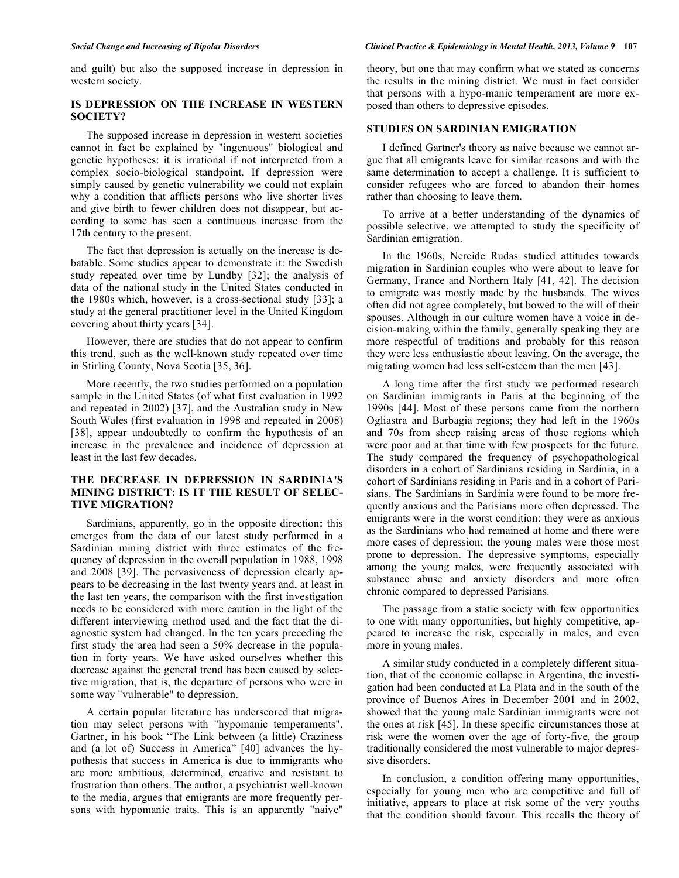and guilt) but also the supposed increase in depression in western society.

# **IS DEPRESSION ON THE INCREASE IN WESTERN SOCIETY?**

The supposed increase in depression in western societies cannot in fact be explained by "ingenuous" biological and genetic hypotheses: it is irrational if not interpreted from a complex socio-biological standpoint. If depression were simply caused by genetic vulnerability we could not explain why a condition that afflicts persons who live shorter lives and give birth to fewer children does not disappear, but according to some has seen a continuous increase from the 17th century to the present.

The fact that depression is actually on the increase is debatable. Some studies appear to demonstrate it: the Swedish study repeated over time by Lundby [32]; the analysis of data of the national study in the United States conducted in the 1980s which, however, is a cross-sectional study [33]; a study at the general practitioner level in the United Kingdom covering about thirty years [34].

However, there are studies that do not appear to confirm this trend, such as the well-known study repeated over time in Stirling County, Nova Scotia [35, 36].

More recently, the two studies performed on a population sample in the United States (of what first evaluation in 1992 and repeated in 2002) [37], and the Australian study in New South Wales (first evaluation in 1998 and repeated in 2008) [38], appear undoubtedly to confirm the hypothesis of an increase in the prevalence and incidence of depression at least in the last few decades.

# **THE DECREASE IN DEPRESSION IN SARDINIA'S MINING DISTRICT: IS IT THE RESULT OF SELEC-TIVE MIGRATION?**

Sardinians, apparently, go in the opposite direction**:** this emerges from the data of our latest study performed in a Sardinian mining district with three estimates of the frequency of depression in the overall population in 1988, 1998 and 2008 [39]. The pervasiveness of depression clearly appears to be decreasing in the last twenty years and, at least in the last ten years, the comparison with the first investigation needs to be considered with more caution in the light of the different interviewing method used and the fact that the diagnostic system had changed. In the ten years preceding the first study the area had seen a 50% decrease in the population in forty years. We have asked ourselves whether this decrease against the general trend has been caused by selective migration, that is, the departure of persons who were in some way "vulnerable" to depression.

A certain popular literature has underscored that migration may select persons with "hypomanic temperaments". Gartner, in his book "The Link between (a little) Craziness and (a lot of) Success in America" [40] advances the hypothesis that success in America is due to immigrants who are more ambitious, determined, creative and resistant to frustration than others. The author, a psychiatrist well-known to the media, argues that emigrants are more frequently persons with hypomanic traits. This is an apparently "naive"

### Social Change and Increasing of Bipolar Disorders<br>
Clinical Practice & Epidemiology in Mental Health, 2013, Volume 9 107

theory, but one that may confirm what we stated as concerns the results in the mining district. We must in fact consider that persons with a hypo-manic temperament are more exposed than others to depressive episodes.

# **STUDIES ON SARDINIAN EMIGRATION**

I defined Gartner's theory as naive because we cannot argue that all emigrants leave for similar reasons and with the same determination to accept a challenge. It is sufficient to consider refugees who are forced to abandon their homes rather than choosing to leave them.

To arrive at a better understanding of the dynamics of possible selective, we attempted to study the specificity of Sardinian emigration.

In the 1960s, Nereide Rudas studied attitudes towards migration in Sardinian couples who were about to leave for Germany, France and Northern Italy [41, 42]. The decision to emigrate was mostly made by the husbands. The wives often did not agree completely, but bowed to the will of their spouses. Although in our culture women have a voice in decision-making within the family, generally speaking they are more respectful of traditions and probably for this reason they were less enthusiastic about leaving. On the average, the migrating women had less self-esteem than the men [43].

A long time after the first study we performed research on Sardinian immigrants in Paris at the beginning of the 1990s [44]. Most of these persons came from the northern Ogliastra and Barbagia regions; they had left in the 1960s and 70s from sheep raising areas of those regions which were poor and at that time with few prospects for the future. The study compared the frequency of psychopathological disorders in a cohort of Sardinians residing in Sardinia, in a cohort of Sardinians residing in Paris and in a cohort of Parisians. The Sardinians in Sardinia were found to be more frequently anxious and the Parisians more often depressed. The emigrants were in the worst condition: they were as anxious as the Sardinians who had remained at home and there were more cases of depression; the young males were those most prone to depression. The depressive symptoms, especially among the young males, were frequently associated with substance abuse and anxiety disorders and more often chronic compared to depressed Parisians.

The passage from a static society with few opportunities to one with many opportunities, but highly competitive, appeared to increase the risk, especially in males, and even more in young males.

A similar study conducted in a completely different situation, that of the economic collapse in Argentina, the investigation had been conducted at La Plata and in the south of the province of Buenos Aires in December 2001 and in 2002, showed that the young male Sardinian immigrants were not the ones at risk [45]. In these specific circumstances those at risk were the women over the age of forty-five, the group traditionally considered the most vulnerable to major depressive disorders.

In conclusion, a condition offering many opportunities, especially for young men who are competitive and full of initiative, appears to place at risk some of the very youths that the condition should favour. This recalls the theory of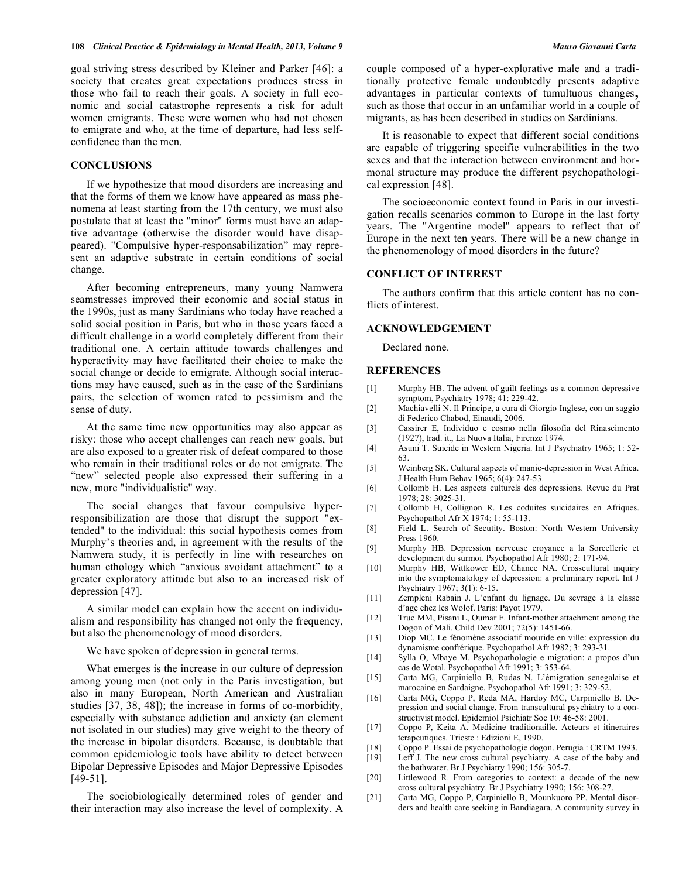goal striving stress described by Kleiner and Parker [46]: a society that creates great expectations produces stress in those who fail to reach their goals. A society in full economic and social catastrophe represents a risk for adult women emigrants. These were women who had not chosen to emigrate and who, at the time of departure, had less selfconfidence than the men.

# **CONCLUSIONS**

If we hypothesize that mood disorders are increasing and that the forms of them we know have appeared as mass phenomena at least starting from the 17th century, we must also postulate that at least the "minor" forms must have an adaptive advantage (otherwise the disorder would have disappeared). "Compulsive hyper-responsabilization" may represent an adaptive substrate in certain conditions of social change.

After becoming entrepreneurs, many young Namwera seamstresses improved their economic and social status in the 1990s, just as many Sardinians who today have reached a solid social position in Paris, but who in those years faced a difficult challenge in a world completely different from their traditional one. A certain attitude towards challenges and hyperactivity may have facilitated their choice to make the social change or decide to emigrate. Although social interactions may have caused, such as in the case of the Sardinians pairs, the selection of women rated to pessimism and the sense of duty.

At the same time new opportunities may also appear as risky: those who accept challenges can reach new goals, but are also exposed to a greater risk of defeat compared to those who remain in their traditional roles or do not emigrate. The "new" selected people also expressed their suffering in a new, more "individualistic" way.

The social changes that favour compulsive hyperresponsibilization are those that disrupt the support "extended" to the individual: this social hypothesis comes from Murphy's theories and, in agreement with the results of the Namwera study, it is perfectly in line with researches on human ethology which "anxious avoidant attachment" to a greater exploratory attitude but also to an increased risk of depression [47].

A similar model can explain how the accent on individualism and responsibility has changed not only the frequency, but also the phenomenology of mood disorders.

We have spoken of depression in general terms.

What emerges is the increase in our culture of depression among young men (not only in the Paris investigation, but also in many European, North American and Australian studies [37, 38, 48]); the increase in forms of co-morbidity, especially with substance addiction and anxiety (an element not isolated in our studies) may give weight to the theory of the increase in bipolar disorders. Because, is doubtable that common epidemiologic tools have ability to detect between Bipolar Depressive Episodes and Major Depressive Episodes [49-51].

The sociobiologically determined roles of gender and their interaction may also increase the level of complexity. A

couple composed of a hyper-explorative male and a traditionally protective female undoubtedly presents adaptive advantages in particular contexts of tumultuous changes, such as those that occur in an unfamiliar world in a couple of migrants, as has been described in studies on Sardinians.

It is reasonable to expect that different social conditions are capable of triggering specific vulnerabilities in the two sexes and that the interaction between environment and hormonal structure may produce the different psychopathological expression [48].

The socioeconomic context found in Paris in our investigation recalls scenarios common to Europe in the last forty years. The "Argentine model" appears to reflect that of Europe in the next ten years. There will be a new change in the phenomenology of mood disorders in the future?

# **CONFLICT OF INTEREST**

The authors confirm that this article content has no conflicts of interest.

# **ACKNOWLEDGEMENT**

Declared none.

#### **REFERENCES**

- [1] Murphy HB. The advent of guilt feelings as a common depressive symptom, Psychiatry 1978; 41: 229-42.
- [2] Machiavelli N. Il Principe, a cura di Giorgio Inglese, con un saggio di Federico Chabod, Einaudi, 2006.
- [3] Cassirer E, Individuo e cosmo nella filosofia del Rinascimento (1927), trad. it., La Nuova Italia, Firenze 1974.
- [4] Asuni T. Suicide in Western Nigeria. Int J Psychiatry 1965; 1: 52- 63.
- [5] Weinberg SK. Cultural aspects of manic-depression in West Africa. J Health Hum Behav 1965; 6(4): 247-53.
- [6] Collomb H. Les aspects culturels des depressions. Revue du Prat 1978; 28: 3025-31.
- [7] Collomb H, Collignon R. Les coduites suicidaires en Afriques. Psychopathol Afr X 1974; 1: 55-113.
- [8] Field L. Search of Secutity. Boston: North Western University Press 1960.
- [9] Murphy HB. Depression nerveuse croyance a la Sorcellerie et development du surmoi. Psychopathol Afr 1980; 2: 171-94.
- [10] Murphy HB, Wittkower ED, Chance NA. Crosscultural inquiry into the symptomatology of depression: a preliminary report. Int J Psychiatry 1967; 3(1): 6-15.
- [11] Zempleni Rabain J. L'enfant du lignage. Du sevrage à la classe d'age chez les Wolof. Paris: Payot 1979.
- [12] True MM, Pisani L, Oumar F. Infant-mother attachment among the Dogon of Mali. Child Dev 2001; 72(5): 1451-66.
- [13] Diop MC. Le fénomène associatif mouride en ville: expression du dynamisme confrérique. Psychopathol Afr 1982; 3: 293-31.
- [14] Sylla O, Mbaye M. Psychopathologie e migration: a propos d'un cas de Wotal. Psychopathol Afr 1991; 3: 353-64.
- [15] Carta MG, Carpiniello B, Rudas N. L'èmigration senegalaise et marocaine en Sardaigne. Psychopathol Afr 1991; 3: 329-52.
- [16] Carta MG, Coppo P, Reda MA, Hardoy MC, Carpiniello B. Depression and social change. From transcultural psychiatry to a constructivist model. Epidemiol Psichiatr Soc 10: 46-58: 2001.
- [17] Coppo P, Keita A. Medicine traditionaille. Acteurs et itineraires terapeutiques. Trieste : Edizioni E, 1990.
- [18] Coppo P. Essai de psychopathologie dogon. Perugia : CRTM 1993. [19] Leff J. The new cross cultural psychiatry. A case of the baby and
- the bathwater. Br J Psychiatry 1990; 156: 305-7. [20] Littlewood R. From categories to context: a decade of the new
- cross cultural psychiatry. Br J Psychiatry 1990; 156: 308-27. [21] Carta MG, Coppo P, Carpiniello B, Mounkuoro PP. Mental disor-
- ders and health care seeking in Bandiagara. A community survey in